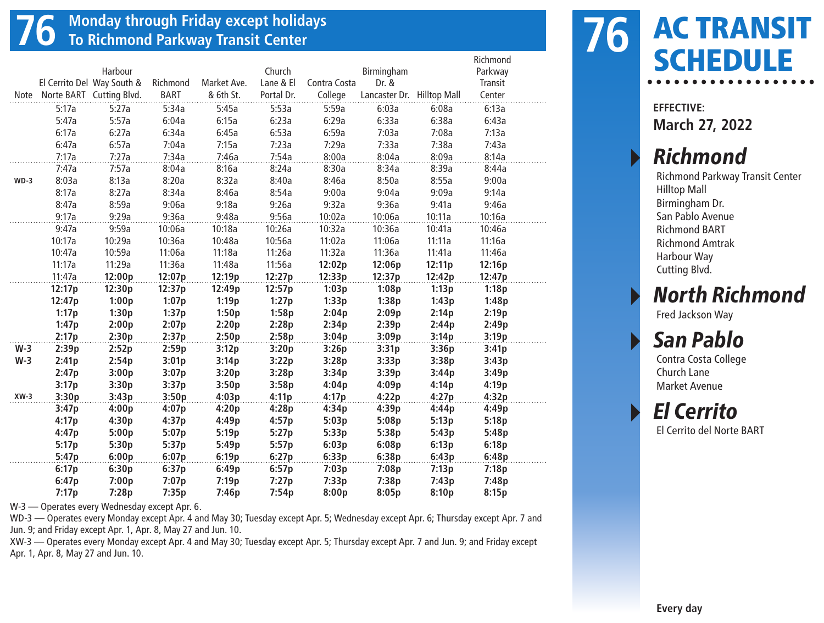## **76 Monday through Friday except holidays To Richmond Parkway Transit Center**

|        |        |                            |          |             |            |              |                            |        | Richmond |  |
|--------|--------|----------------------------|----------|-------------|------------|--------------|----------------------------|--------|----------|--|
|        |        | Harbour                    |          |             | Church     |              | Birmingham                 |        | Parkway  |  |
|        |        | El Cerrito Del Way South & | Richmond | Market Ave. | Lane & El  | Contra Costa | Dr. &                      |        | Transit  |  |
| Note   |        | Norte BART Cutting Blvd.   | BART     | & 6th St.   | Portal Dr. | College      | Lancaster Dr. Hilltop Mall |        | Center   |  |
|        | 5:17a  | 5:27a                      | 5:34a    | 5:45a       | 5:53a      | 5:59a        | 6:03a                      | 6:08a  | 6:13a    |  |
|        | 5:47a  | 5:57a                      | 6:04a    | 6:15a       | 6:23a      | 6:29a        | 6:33a                      | 6:38a  | 6:43a    |  |
|        | 6:17a  | 6:27a                      | 6:34a    | 6:45a       | 6:53a      | 6:59a        | 7:03a                      | 7:08a  | 7:13a    |  |
|        | 6:47a  | 6:57a                      | 7:04a    | 7:15a       | 7:23a      | 7:29a        | 7:33a                      | 7:38a  | 7:43a    |  |
|        | 7:17a  | 7:27a                      | 7:34a    | 7:46a       | 7:54a      | 8:00a        | 8:04a                      | 8:09a  | 8:14a    |  |
|        | 7:47a  | 7:57a                      | 8:04a    | 8:16a       | 8:24a      | 8:30a        | 8:34a                      | 8:39a  | 8:44a    |  |
| $WD-3$ | 8:03a  | 8:13a                      | 8:20a    | 8:32a       | 8:40a      | 8:46a        | 8:50a                      | 8:55a  | 9:00a    |  |
|        | 8:17a  | 8:27a                      | 8:34a    | 8:46a       | 8:54a      | 9:00a        | 9:04a                      | 9:09a  | 9:14a    |  |
|        | 8:47a  | 8:59a                      | 9:06a    | 9:18a       | 9:26a      | 9:32a        | 9:36a                      | 9:41a  | 9:46a    |  |
|        | 9:17a  | 9:29a                      | 9:36a    | 9:48a       | 9:56a      | 10:02a       | 10:06a                     | 10:11a | 10:16a   |  |
|        | 9:47a  | 9:59a                      | 10:06a   | 10:18a      | 10:26a     | 10:32a       | 10:36a                     | 10:41a | 10:46a   |  |
|        | 10:17a | 10:29a                     | 10:36a   | 10:48a      | 10:56a     | 11:02a       | 11:06a                     | 11:11a | 11:16a   |  |
|        | 10:47a | 10:59a                     | 11:06a   | 11:18a      | 11:26a     | 11:32a       | 11:36a                     | 11:41a | 11:46a   |  |
|        | 11:17a | 11:29a                     | 11:36a   | 11:48a      | 11:56a     | 12:02p       | 12:06p                     | 12:11p | 12:16p   |  |
|        | 11:47a | 12:00p                     | 12:07p   | 12:19p      | 12:27p     | 12:33p       | 12:37p                     | 12:42p | 12:47p   |  |
|        | 12:17p | 12:30p                     | 12:37p   | 12:49p      | 12:57p     | 1:03p        | 1:08p                      | 1:13p  | 1:18p    |  |
|        | 12:47p | 1:00p                      | 1:07p    | 1:19p       | 1:27p      | 1:33p        | 1:38p                      | 1:43p  | 1:48p    |  |
|        | 1:17p  | 1:30p                      | 1:37p    | 1:50p       | 1:58p      | 2:04p        | 2:09p                      | 2:14p  | 2:19p    |  |
|        | 1:47p  | 2:00p                      | 2:07p    | 2:20p       | 2:28p      | 2:34p        | 2:39p                      | 2:44p  | 2:49p    |  |
|        | 2:17p  | 2:30p                      | 2:37p    | 2:50p       | 2:58p      | 3:04p        | 3:09p                      | 3:14p  | 3:19p    |  |
| $W-3$  | 2:39p  | 2:52p                      | 2:59p    | 3:12p       | 3:20p      | 3:26p        | 3:31p                      | 3:36p  | 3:41p    |  |
| $W-3$  | 2:41p  | 2:54p                      | 3:01p    | 3:14p       | 3:22p      | 3:28p        | 3:33p                      | 3:38p  | 3:43p    |  |
|        | 2:47p  | 3:00p                      | 3:07p    | 3:20p       | 3:28p      | 3:34p        | 3:39p                      | 3:44p  | 3:49p    |  |
|        | 3:17p  | 3:30p                      | 3:37p    | 3:50p       | 3:58p      | 4:04p        | 4:09p                      | 4:14p  | 4:19p    |  |
| $XW-3$ | 3:30p  | 3:43p                      | 3:50p    | 4:03p       | 4:11p      | 4:17p        | 4:22p                      | 4:27p  | 4:32p    |  |
|        | 3:47p  | 4:00p                      | 4:07p    | 4:20p       | 4:28p      | 4:34p        | 4:39p                      | 4:44p  | 4:49p    |  |
|        | 4:17p  | 4:30p                      | 4:37p    | 4:49p       | 4:57p      | 5:03p        | 5:08p                      | 5:13p  | 5:18p    |  |
|        | 4:47p  | 5:00p                      | 5:07p    | 5:19p       | 5:27p      | 5:33p        | 5:38p                      | 5:43p  | 5:48p    |  |
|        | 5:17p  | 5:30p                      | 5:37p    | 5:49p       | 5:57p      | 6:03p        | 6:08p                      | 6:13p  | 6:18p    |  |
|        | 5:47p  | 6:00p                      | 6:07p    | 6:19p       | 6:27p      | 6:33p        | 6:38p                      | 6:43p  | 6:48p    |  |
|        | 6:17p  | 6:30p                      | 6:37p    | 6:49p       | 6:57p      | 7:03p        | 7:08p                      | 7:13p  | 7:18p    |  |
|        | 6:47p  | 7:00p                      | 7:07p    | 7:19p       | 7:27p      | 7:33p        | 7:38p                      | 7:43p  | 7:48p    |  |
|        | 7:17p  | 7:28p                      | 7:35p    | 7:46p       | 7:54p      | 8:00p        | 8:05p                      | 8:10p  | 8:15p    |  |

W-3 — Operates every Wednesday except Apr. 6.

WD-3 — Operates every Monday except Apr. 4 and May 30; Tuesday except Apr. 5; Wednesday except Apr. 6; Thursday except Apr. 7 and Jun. 9; and Friday except Apr. 1, Apr. 8, May 27 and Jun. 10.

XW-3 — Operates every Monday except Apr. 4 and May 30; Tuesday except Apr. 5; Thursday except Apr. 7 and Jun. 9; and Friday except Apr. 1, Apr. 8, May 27 and Jun. 10.



**EFFECTIVE: March 27, 2022**

#### **Richmond**

Richmond Parkway Transit Center Hilltop Mall Birmingham Dr. San Pablo Avenue Richmond BART Richmond Amtrak Harbour Way Cutting Blvd.

**North Richmond** 

Fred Jackson Way

#### San Pablo

Contra Costa College Church Lane Market Avenue

▸ El Cerrito

El Cerrito del Norte BART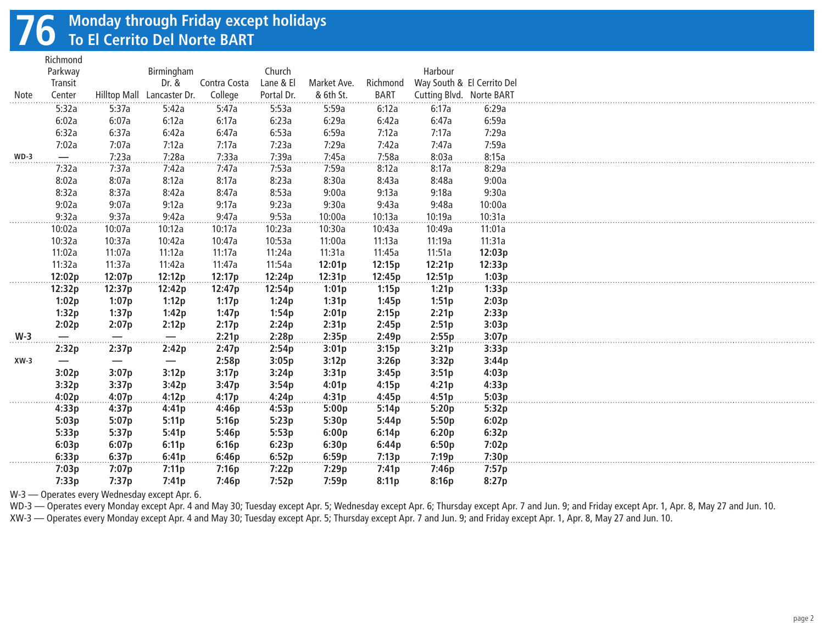## **76 Monday through Friday except holidays To El Cerrito Del Norte BART**

Richmond

|              | ,,,,,,,,,,,,,<br>Parkway |                               | Birmingham                 |              | Church     |             |             | Harbour                    |        |
|--------------|--------------------------|-------------------------------|----------------------------|--------------|------------|-------------|-------------|----------------------------|--------|
|              | Transit                  |                               | Dr. &                      | Contra Costa | Lane & El  | Market Ave. | Richmond    | Way South & El Cerrito Del |        |
| <b>Note</b>  | Center                   |                               | Hilltop Mall Lancaster Dr. | College      | Portal Dr. | & 6th St.   | <b>BART</b> | Cutting Blvd. Norte BART   |        |
|              | 5:32a                    | 5:37a                         | 5:42a                      | 5:47a        | 5:53a      | 5:59a       | 6:12a       | 6:17a                      | 6:29a  |
|              | 6:02a                    | 6:07a                         | 6:12a                      | 6:17a        | 6:23a      | 6:29a       | 6:42a       | 6:47a                      | 6:59a  |
|              | 6:32a                    | 6:37a                         | 6:42a                      | 6:47a        | 6:53a      | 6:59a       | 7:12a       | 7:17a                      | 7:29a  |
|              | 7:02a                    | 7:07a                         | 7:12a                      | 7:17a        | 7:23a      | 7:29a       | 7:42a       | 7:47a                      | 7:59a  |
| $WD-3$       |                          | 7:23a                         | 7:28a                      | 7:33a        | 7:39a      | 7:45a       | 7:58a       | 8:03a                      | 8:15a  |
|              | 7:32a                    | 7:37a                         | 7:42a                      | 7:47a        | 7:53a      | 7:59a       | 8:12a       | 8:17a                      | 8:29a  |
|              | 8:02a                    | 8:07a                         | 8:12a                      | 8:17a        | 8:23a      | 8:30a       | 8:43a       | 8:48a                      | 9:00a  |
|              | 8:32a                    | 8:37a                         | 8:42a                      | 8:47a        | 8:53a      | 9:00a       | 9:13a       | 9:18a                      | 9:30a  |
|              | 9:02a                    | 9:07a                         | 9:12a                      | 9:17a        | 9:23a      | 9:30a       | 9:43a       | 9:48a                      | 10:00a |
| .            | 9:32a                    | 9:37a                         | 9:42a                      | 9:47a        | 9:53a      | 10:00a      | 10:13a      | 10:19a                     | 10:31a |
|              | 10:02a                   | 10:07a                        | 10:12a                     | 10:17a       | 10:23a     | 10:30a      | 10:43a      | 10:49a                     | 11:01a |
|              | 10:32a                   | 10:37a                        | 10:42a                     | 10:47a       | 10:53a     | 11:00a      | 11:13a      | 11:19a                     | 11:31a |
|              | 11:02a                   | 11:07a                        | 11:12a                     | 11:17a       | 11:24a     | 11:31a      | 11:45a      | 11:51a                     | 12:03p |
|              | 11:32a                   | 11:37a                        | 11:42a                     | 11:47a       | 11:54a     | 12:01p      | 12:15p      | 12:21p                     | 12:33p |
|              | 12:02p                   | 12:07p                        | 12:12p                     | 12:17p       | 12:24p     | 12:31p      | 12:45p      | 12:51p                     | 1:03p  |
|              | 12:32p                   | 12:37p                        | 12:42p                     | 12:47p       | 12:54p     | 1:01p       | 1:15p       | 1:21p                      | 1:33p  |
|              | 1:02p                    | 1:07p                         | 1:12p                      | 1:17p        | 1:24p      | 1:31p       | 1:45p       | 1:51p                      | 2:03p  |
|              | 1:32p                    | 1:37p                         | 1:42p                      | 1:47p        | 1:54p      | 2:01p       | 2:15p       | 2:21p                      | 2:33p  |
|              | 2:02p                    | 2:07p                         | 2:12p                      | 2:17p        | 2:24p      | 2:31p       | 2:45p       | 2:51p                      | 3:03p  |
| $W-3$        | $\overline{\phantom{0}}$ |                               | $\overline{\phantom{m}}$   | 2:21p        | 2:28p      | 2:35p       | 2:49p       | 2:55p                      | 3:07p  |
|              | 2:32p                    | 2:37p                         | 2:42p                      | 2:47p        | 2:54p      | 3:01p       | 3:15p       | 3:21p                      | 3:33p  |
| $XW-3$       |                          | $\overbrace{\phantom{13333}}$ | $\overline{\phantom{0}}$   | 2:58p        | 3:05p      | 3:12p       | 3:26p       | 3:32p                      | 3:44p  |
|              | 3:02p                    | 3:07p                         | 3:12p                      | 3:17p        | 3:24p      | 3:31p       | 3:45p       | 3:51p                      | 4:03p  |
|              | 3:32p                    | 3:37p                         | 3:42p                      | 3:47p        | 3:54p      | 4:01p       | 4:15p       | 4:21p                      | 4:33p  |
| .            | 4:02p                    | 4:07p                         | 4:12p                      | 4:17p        | 4:24p      | 4:31p       | 4:45p       | 4:51p                      | 5:03p  |
|              | 4:33p                    | 4:37p                         | 4:41p                      | 4:46p        | 4:53p      | 5:00p       | 5:14p       | 5:20p                      | 5:32p  |
|              | 5:03p                    | 5:07p                         | 5:11p                      | 5:16p        | 5:23p      | 5:30p       | 5:44p       | 5:50p                      | 6:02p  |
|              | 5:33p                    | 5:37p                         | 5:41p                      | 5:46p        | 5:53p      | 6:00p       | 6:14p       | 6:20p                      | 6:32p  |
|              | 6:03p                    | 6:07p                         | 6:11p                      | 6:16p        | 6:23p      | 6:30p       | 6:44p       | 6:50p                      | 7:02p  |
| . <b>. .</b> | 6:33p                    | 6:37p                         | 6:41p                      | 6:46p        | 6:52p      | 6:59p       | 7:13p       | 7:19p                      | 7:30p  |
|              | 7:03p                    | 7:07p                         | 7:11p                      | 7:16p        | 7:22p      | 7:29p       | 7:41p       | 7:46p                      | 7:57p  |
|              | 7:33p                    | 7:37p                         | 7:41p                      | 7:46p        | 7:52p      | 7:59p       | 8:11p       | 8:16p                      | 8:27p  |

W-3 — Operates every Wednesday except Apr. 6.

WD-3 — Operates every Monday except Apr. 4 and May 30; Tuesday except Apr. 5; Wednesday except Apr. 6; Thursday except Apr. 7 and Jun. 9; and Friday except Apr. 1, Apr. 8, May 27 and Jun. 10.

XW-3 — Operates every Monday except Apr. 4 and May 30; Tuesday except Apr. 5; Thursday except Apr. 7 and Jun. 9; and Friday except Apr. 1, Apr. 8, May 27 and Jun. 10.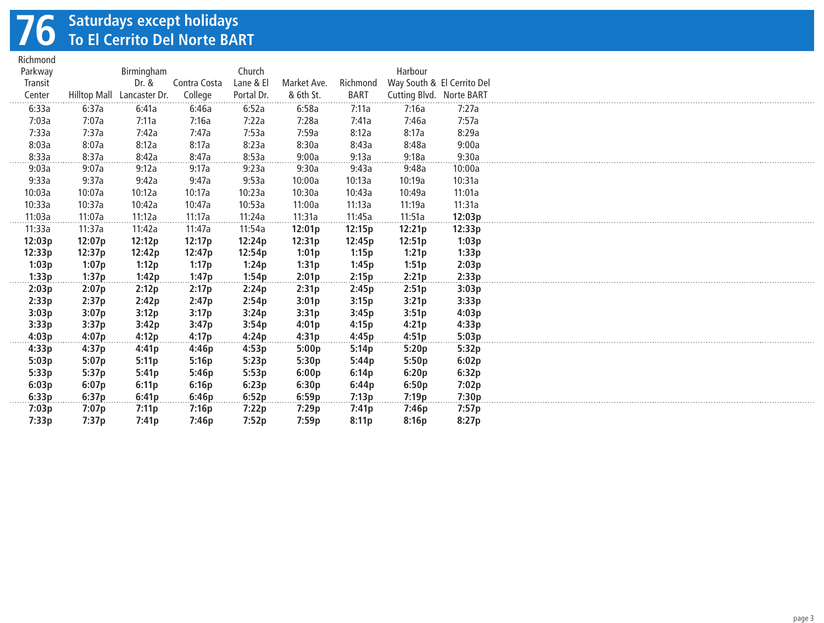## **76 Saturdays except holidays To El Cerrito Del Norte BART**

| Richmond |                     |               |              |            |             |             |                          |                            |
|----------|---------------------|---------------|--------------|------------|-------------|-------------|--------------------------|----------------------------|
| Parkway  |                     | Birmingham    |              | Church     |             |             | Harbour                  |                            |
| Transit  |                     | Dr. &         | Contra Costa | Lane & El  | Market Ave. | Richmond    |                          | Way South & El Cerrito Del |
| Center   | <b>Hilltop Mall</b> | Lancaster Dr. | College      | Portal Dr. | & 6th St.   | <b>BART</b> | Cutting Blvd. Norte BART |                            |
| 6:33a    | 6:37a               | 6:41a         | 6:46a        | 6:52a      | 6:58a       | 7:11a       | 7:16a                    | 7:27a                      |
| 7:03a    | 7:07a               | 7:11a         | 7:16a        | 7:22a      | 7:28a       | 7:41a       | 7:46a                    | 7:57a                      |
| 7:33a    | 7:37a               | 7:42a         | 7:47a        | 7:53a      | 7:59a       | 8:12a       | 8:17a                    | 8:29a                      |
| 8:03a    | 8:07a               | 8:12a         | 8:17a        | 8:23a      | 8:30a       | 8:43a       | 8:48a                    | 9:00a                      |
| 8:33a    | 8:37a               | 8:42a         | 8:47a        | 8:53a      | 9:00a       | 9:13a       | 9:18a                    | 9:30a                      |
| 9:03a    | 9:07a               | 9:12a         | 9:17a        | 9:23a      | 9:30a       | 9:43a       | 9:48a                    | 10:00a                     |
| 9:33a    | 9:37a               | 9:42a         | 9:47a        | 9:53a      | 10:00a      | 10:13a      | 10:19a                   | 10:31a                     |
| 10:03a   | 10:07a              | 10:12a        | 10:17a       | 10:23a     | 10:30a      | 10:43a      | 10:49a                   | 11:01a                     |
| 10:33a   | 10:37a              | 10:42a        | 10:47a       | 10:53a     | 11:00a      | 11:13a      | 11:19a                   | 11:31a                     |
| 11:03a   | 11:07a              | 11:12a        | 11:17a       | 11:24a     | 11:31a      | 11:45a      | 11:51a                   | 12:03p                     |
| 11:33a   | 11:37a              | 11:42a        | 11:47a       | 11:54a     | 12:01p      | 12:15p      | 12:21p                   | 12:33p                     |
| 12:03p   | 12:07p              | 12:12p        | 12:17p       | 12:24p     | 12:31p      | 12:45p      | 12:51p                   | 1:03p                      |
| 12:33p   | 12:37p              | 12:42p        | 12:47p       | 12:54p     | 1:01p       | 1:15p       | 1:21p                    | 1:33p                      |
| 1:03p    | 1:07p               | 1:12p         | 1:17p        | 1:24p      | 1:31p       | 1:45p       | 1:51p                    | 2:03p                      |
| 1:33p    | 1:37p               | 1:42p         | 1:47p        | 1:54p      | 2:01p       | 2:15p       | 2:21p                    | 2:33p                      |
| 2:03p    | 2:07p               | 2:12p         | 2:17p        | 2:24p      | 2:31p       | 2:45p       | 2:51p                    | 3:03p                      |
| 2:33p    | 2:37p               | 2:42p         | 2:47p        | 2:54p      | 3:01p       | 3:15p       | 3:21p                    | 3:33p                      |
| 3:03p    | 3:07p               | 3:12p         | 3:17p        | 3:24p      | 3:31p       | 3:45p       | 3:51p                    | 4:03p                      |
| 3:33p    | 3:37p               | 3:42p         | 3:47p        | 3:54p      | 4:01p       | 4:15p       | 4:21p                    | 4:33p                      |
| 4:03p    | 4:07p               | 4:12p         | 4:17p        | 4:24p      | 4:31p       | 4:45p       | 4:51p                    | 5:03p                      |
| 4:33p    | 4:37p               | 4:41p         | 4:46p        | 4:53p      | 5:00p       | 5:14p       | 5:20p                    | 5:32p                      |
| 5:03p    | 5:07p               | 5:11p         | 5:16p        | 5:23p      | 5:30p       | 5:44p       | 5:50p                    | 6:02p                      |
| 5:33p    | 5:37p               | 5:41p         | 5:46p        | 5:53p      | 6:00p       | 6:14p       | 6:20p                    | 6:32p                      |
| 6:03p    | 6:07p               | 6:11p         | 6:16p        | 6:23p      | 6:30p       | 6:44p       | 6:50p                    | 7:02p                      |
| 6:33p    | 6:37p               | 6:41p         | 6:46p        | 6:52p      | 6:59p       | 7:13p       | 7:19p                    | 7:30p                      |
| 7:03p    | 7:07p               | 7:11p         | 7:16p        | 7:22p      | 7:29p       | 7:41p       | 7:46p                    | 7:57p                      |
| 7:33p    | 7:37p               | 7:41p         | 7:46p        | 7:52p      | 7:59p       | 8:11p       | 8:16p                    | 8:27p                      |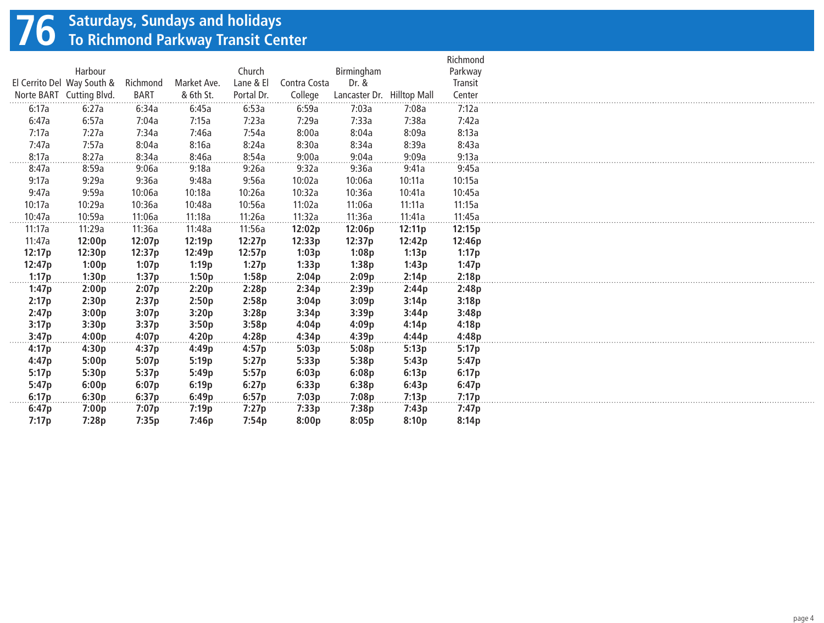## **76 Saturdays, Sundays and holidays To Richmond Parkway Transit Center**

|        |                            |             |             |            |              |                            |        | Richmond |
|--------|----------------------------|-------------|-------------|------------|--------------|----------------------------|--------|----------|
|        | Harbour                    |             |             | Church     |              | Birmingham                 |        | Parkway  |
|        | El Cerrito Del Way South & | Richmond    | Market Ave. | Lane & El  | Contra Costa | Dr. &                      |        | Transit  |
|        | Norte BART Cutting Blvd.   | <b>BART</b> | & 6th St.   | Portal Dr. | College      | Lancaster Dr. Hilltop Mall |        | Center   |
| 6:17a  | 6:27a                      | 6:34a       | 6:45a       | 6:53a      | 6:59a        | 7:03a                      | 7:08a  | 7:12a    |
| 6:47a  | 6:57a                      | 7:04a       | 7:15a       | 7:23a      | 7:29a        | 7:33a                      | 7:38a  | 7:42a    |
| 7:17a  | 7:27a                      | 7:34a       | 7:46a       | 7:54a      | 8:00a        | 8:04a                      | 8:09a  | 8:13a    |
| 7:47a  | 7:57a                      | 8:04a       | 8:16a       | 8:24a      | 8:30a        | 8:34a                      | 8:39a  | 8:43a    |
| 8:17a  | 8:27a                      | 8:34a       | 8:46a       | 8:54a      | 9:00a        | 9:04a                      | 9:09a  | 9:13a    |
| 8:47a  | 8:59a                      | 9:06a       | 9:18a       | 9:26a      | 9:32a        | 9:36a                      | 9:41a  | 9:45a    |
| 9:17a  | 9:29a                      | 9:36a       | 9:48a       | 9:56a      | 10:02a       | 10:06a                     | 10:11a | 10:15a   |
| 9:47a  | 9:59a                      | 10:06a      | 10:18a      | 10:26a     | 10:32a       | 10:36a                     | 10:41a | 10:45a   |
| 10:17a | 10:29a                     | 10:36a      | 10:48a      | 10:56a     | 11:02a       | 11:06a                     | 11:11a | 11:15a   |
| 10:47a | 10:59a                     | 11:06a      | 11:18a      | 11:26a     | 11:32a       | 11:36a                     | 11:41a | 11:45a   |
| 11:17a | 11:29a                     | 11:36a      | 11:48a      | 11:56a     | 12:02p       | 12:06p                     | 12:11p | 12:15p   |
| 11:47a | 12:00p                     | 12:07p      | 12:19p      | 12:27p     | 12:33p       | 12:37p                     | 12:42p | 12:46p   |
| 12:17p | 12:30p                     | 12:37p      | 12:49p      | 12:57p     | 1:03p        | 1:08p                      | 1:13p  | 1:17p    |
| 12:47p | 1:00p                      | 1:07p       | 1:19p       | 1:27p      | 1:33p        | 1:38p                      | 1:43p  | 1:47p    |
| 1:17p  | 1:30p                      | 1:37p       | 1:50p       | 1:58p      | 2:04p        | 2:09p                      | 2:14p  | 2:18p    |
| 1:47p  | 2:00p                      | 2:07p       | 2:20p       | 2:28p      | 2:34p        | 2:39p                      | 2:44p  | 2:48p    |
| 2:17p  | 2:30p                      | 2:37p       | 2:50p       | 2:58p      | 3:04p        | 3:09p                      | 3:14p  | 3:18p    |
| 2:47p  | 3:00p                      | 3:07p       | 3:20p       | 3:28p      | 3:34p        | 3:39p                      | 3:44p  | 3:48p    |
| 3:17p  | 3:30p                      | 3:37p       | 3:50p       | 3:58p      | 4:04p        | 4:09p                      | 4:14p  | 4:18p    |
| 3:47p  | 4:00p                      | 4:07p       | 4:20p       | 4:28p      | 4:34p        | 4:39p                      | 4:44p  | 4:48p    |
| 4:17p  | 4:30p                      | 4:37p       | 4:49p       | 4:57p      | 5:03p        | 5:08p                      | 5:13p  | 5:17p    |
| 4:47p  | 5:00p                      | 5:07p       | 5:19p       | 5:27p      | 5:33p        | 5:38p                      | 5:43p  | 5:47p    |
| 5:17p  | 5:30p                      | 5:37p       | 5:49p       | 5:57p      | 6:03p        | 6:08p                      | 6:13p  | 6:17p    |
| 5:47p  | 6:00p                      | 6:07p       | 6:19p       | 6:27p      | 6:33p        | 6:38p                      | 6:43p  | 6:47p    |
| 6:17p  | 6:30p                      | 6:37p       | 6:49p       | 6:57p      | 7:03p        | 7:08p                      | 7:13p  | 7:17p    |
| 6:47p  | 7:00p                      | 7:07p       | 7:19p       | 7:27p      | 7:33p        | 7:38p                      | 7:43p  | 7:47p    |
| 7:17p  | 7:28p                      | 7:35p       | 7:46p       | 7:54p      | 8:00p        | 8:05p                      | 8:10p  | 8:14p    |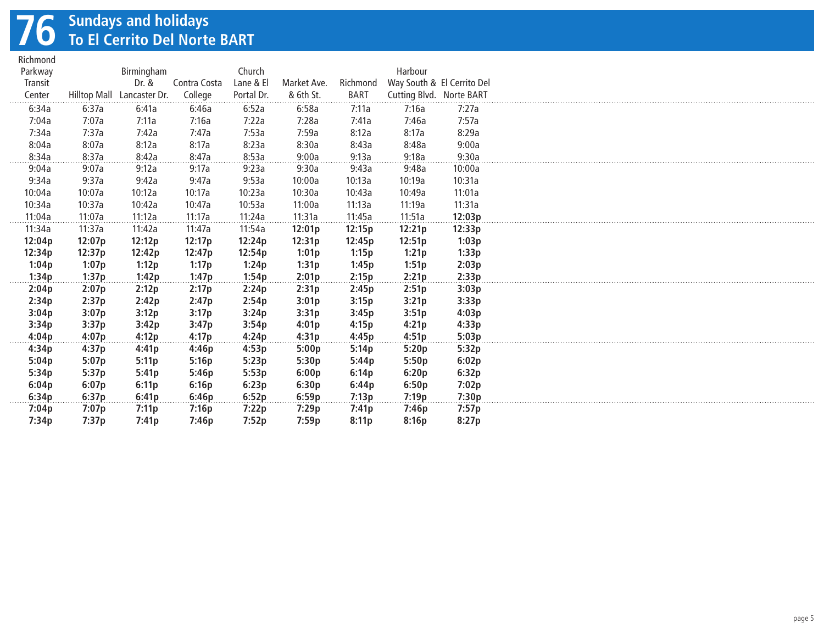# **76 Sundays and holidays To El Cerrito Del Norte BART**

| Parkway |        |                            |              |                         |                          |                         |                            |        |
|---------|--------|----------------------------|--------------|-------------------------|--------------------------|-------------------------|----------------------------|--------|
|         |        | Birmingham                 |              | Church                  |                          |                         | Harbour                    |        |
| Transit |        | Dr. &                      | Contra Costa | Lane & El<br>Portal Dr. | Market Ave.<br>& 6th St. | Richmond<br><b>BART</b> | Way South & El Cerrito Del |        |
| Center  |        | Hilltop Mall Lancaster Dr. | College      |                         |                          |                         | Cutting Blvd. Norte BART   |        |
| 6:34a   | 6:37a  | 6:41a                      | 6:46a        | 6:52a                   | 6:58a                    | 7:11a                   | 7:16a                      | 7:27a  |
| 7:04a   | 7:07a  | 7:11a                      | 7:16a        | 7:22a                   | 7:28a                    | 7:41a                   | 7:46a                      | 7:57a  |
| 7:34a   | 7:37a  | 7:42a                      | 7:47a        | 7:53a                   | 7:59a                    | 8:12a                   | 8:17a                      | 8:29a  |
| 8:04a   | 8:07a  | 8:12a                      | 8:17a        | 8:23a                   | 8:30a                    | 8:43a                   | 8:48a                      | 9:00a  |
| 8:34a   | 8:37a  | 8:42a                      | 8:47a        | 8:53a                   | 9:00a                    | 9:13a                   | 9:18a                      | 9:30a  |
| 9:04a   | 9:07a  | 9:12a                      | 9:17a        | 9:23a                   | 9:30a                    | 9:43a                   | 9:48a                      | 10:00a |
| 9:34a   | 9:37a  | 9:42a                      | 9:47a        | 9:53a                   | 10:00a                   | 10:13a                  | 10:19a                     | 10:31a |
| 10:04a  | 10:07a | 10:12a                     | 10:17a       | 10:23a                  | 10:30a                   | 10:43a                  | 10:49a                     | 11:01a |
| 10:34a  | 10:37a | 10:42a                     | 10:47a       | 10:53a                  | 11:00a                   | 11:13a                  | 11:19a                     | 11:31a |
| 11:04a  | 11:07a | 11:12a                     | 11:17a       | 11:24a                  | 11:31a                   | 11:45a                  | 11:51a                     | 12:03p |
| 11:34a  | 11:37a | 11:42a                     | 11:47a       | 11:54a                  | 12:01p                   | 12:15p                  | 12:21p                     | 12:33p |
| 12:04p  | 12:07p | 12:12p                     | 12:17p       | 12:24p                  | 12:31p                   | 12:45p                  | 12:51p                     | 1:03p  |
| 12:34p  | 12:37p | 12:42p                     | 12:47p       | 12:54p                  | 1:01p                    | 1:15p                   | 1:21p                      | 1:33p  |
| 1:04p   | 1:07p  | 1:12p                      | 1:17p        | 1:24p                   | 1:31p                    | 1:45p                   | 1:51p                      | 2:03p  |
| 1:34p   | 1:37p  | 1:42p                      | 1:47p        | 1:54p                   | 2:01p                    | 2:15p                   | 2:21p                      | 2:33p  |
| 2:04p   | 2:07p  | 2:12p                      | 2:17p        | 2:24p                   | 2:31p                    | 2:45p                   | 2:51p                      | 3:03p  |
| 2:34p   | 2:37p  | 2:42p                      | 2:47p        | 2:54p                   | 3:01p                    | 3:15p                   | 3:21p                      | 3:33p  |
| 3:04p   | 3:07p  | 3:12p                      | 3:17p        | 3:24p                   | 3:31p                    | 3:45p                   | 3:51p                      | 4:03p  |
| 3:34p   | 3:37p  | 3:42p                      | 3:47p        | 3:54p                   | 4:01p                    | 4:15p                   | 4:21p                      | 4:33p  |
| 4:04p   | 4:07p  | 4:12p                      | 4:17p        | 4:24p                   | 4:31p                    | 4:45p                   | 4:51p                      | 5:03p  |
| 4:34p   | 4:37p  | 4:41p                      | 4:46p        | 4:53p                   | 5:00p                    | 5:14p                   | 5:20p                      | 5:32p  |
| 5:04p   | 5:07p  | 5:11p                      | 5:16p        | 5:23p                   | 5:30p                    | 5:44p                   | 5:50p                      | 6:02p  |
| 5:34p   | 5:37p  | 5:41p                      | 5:46p        | 5:53p                   | 6:00p                    | 6:14p                   | 6:20p                      | 6:32p  |
| 6:04p   | 6:07p  | 6:11p                      | 6:16p        | 6:23p                   | 6:30p                    | 6:44p                   | 6:50p                      | 7:02p  |
| 6:34p   | 6:37p  | 6:41p                      | 6:46p        | 6:52p                   | 6:59p                    | 7:13p                   | 7:19p                      | 7:30p  |
| 7:04p   | 7:07p  | 7:11p                      | 7:16p        | 7:22p                   | 7:29p                    | 7:41p                   | 7:46p                      | 7:57p  |
| 7:34p   | 7:37p  | 7:41p                      | 7:46p        | 7:52p                   | 7:59p                    | 8:11p                   | 8:16p                      | 8:27p  |